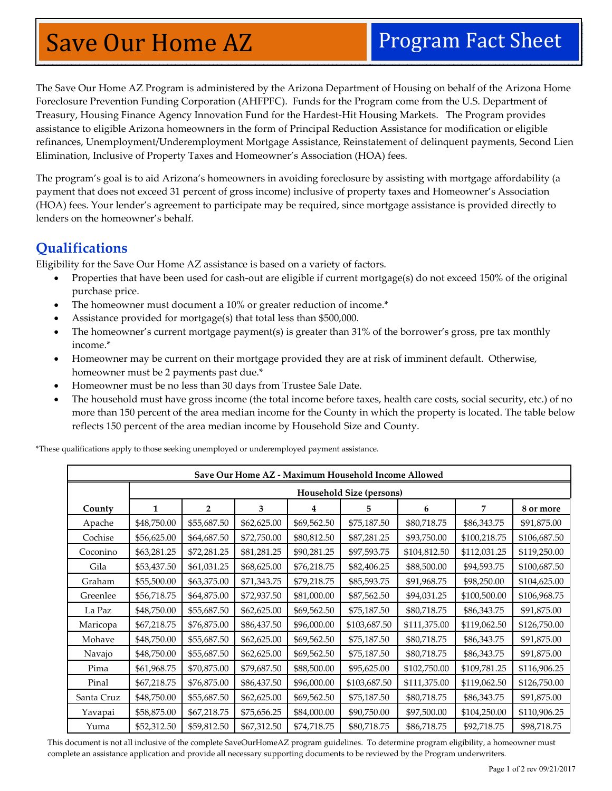# Save Our Home AZ Program Fact Sheet

The Save Our Home AZ Program is administered by the Arizona Department of Housing on behalf of the Arizona Home Foreclosure Prevention Funding Corporation (AHFPFC). Funds for the Program come from the U.S. Department of Treasury, Housing Finance Agency Innovation Fund for the Hardest-Hit Housing Markets. The Program provides assistance to eligible Arizona homeowners in the form of Principal Reduction Assistance for modification or eligible refinances, Unemployment/Underemployment Mortgage Assistance, Reinstatement of delinquent payments, Second Lien Elimination, Inclusive of Property Taxes and Homeowner's Association (HOA) fees.

The program's goal is to aid Arizona's homeowners in avoiding foreclosure by assisting with mortgage affordability (a payment that does not exceed 31 percent of gross income) inclusive of property taxes and Homeowner's Association (HOA) fees. Your lender's agreement to participate may be required, since mortgage assistance is provided directly to lenders on the homeowner's behalf.

## **Qualifications**

Eligibility for the Save Our Home AZ assistance is based on a variety of factors.

- Properties that have been used for cash-out are eligible if current mortgage(s) do not exceed 150% of the original purchase price.
- The homeowner must document a 10% or greater reduction of income.\*
- Assistance provided for mortgage(s) that total less than \$500,000.
- The homeowner's current mortgage payment(s) is greater than 31% of the borrower's gross, pre tax monthly income.\*
- Homeowner may be current on their mortgage provided they are at risk of imminent default. Otherwise, homeowner must be 2 payments past due.\*
- Homeowner must be no less than 30 days from Trustee Sale Date.
- The household must have gross income (the total income before taxes, health care costs, social security, etc.) of no more than 150 percent of the area median income for the County in which the property is located. The table below reflects 150 percent of the area median income by Household Size and County.

| Save Our Home AZ - Maximum Household Income Allowed |                          |                |             |             |              |              |              |              |
|-----------------------------------------------------|--------------------------|----------------|-------------|-------------|--------------|--------------|--------------|--------------|
|                                                     | Household Size (persons) |                |             |             |              |              |              |              |
| County                                              | 1                        | $\overline{2}$ | 3           | 4           | 5.           | 6            | 7            | 8 or more    |
| Apache                                              | \$48,750.00              | \$55,687.50    | \$62,625.00 | \$69,562.50 | \$75,187.50  | \$80,718.75  | \$86,343.75  | \$91,875.00  |
| Cochise                                             | \$56,625.00              | \$64,687.50    | \$72,750.00 | \$80,812.50 | \$87,281.25  | \$93,750.00  | \$100,218.75 | \$106,687.50 |
| Coconino                                            | \$63,281.25              | \$72,281.25    | \$81,281.25 | \$90,281.25 | \$97,593.75  | \$104,812.50 | \$112,031.25 | \$119,250.00 |
| Gila                                                | \$53,437.50              | \$61,031.25    | \$68,625.00 | \$76,218.75 | \$82,406.25  | \$88,500.00  | \$94,593.75  | \$100,687.50 |
| Graham                                              | \$55,500.00              | \$63,375.00    | \$71,343.75 | \$79,218.75 | \$85,593.75  | \$91,968.75  | \$98,250.00  | \$104,625.00 |
| Greenlee                                            | \$56,718.75              | \$64,875.00    | \$72,937.50 | \$81,000.00 | \$87,562.50  | \$94,031.25  | \$100,500.00 | \$106,968.75 |
| La Paz                                              | \$48,750.00              | \$55,687.50    | \$62,625.00 | \$69,562.50 | \$75,187.50  | \$80,718.75  | \$86,343.75  | \$91,875.00  |
| Maricopa                                            | \$67,218.75              | \$76,875.00    | \$86,437.50 | \$96,000.00 | \$103,687.50 | \$111,375.00 | \$119,062.50 | \$126,750.00 |
| Mohave                                              | \$48,750.00              | \$55,687.50    | \$62,625.00 | \$69,562.50 | \$75,187.50  | \$80,718.75  | \$86,343.75  | \$91,875.00  |
| Navajo                                              | \$48,750.00              | \$55,687.50    | \$62,625.00 | \$69,562.50 | \$75,187.50  | \$80,718.75  | \$86,343.75  | \$91,875.00  |
| Pima                                                | \$61,968.75              | \$70,875.00    | \$79,687.50 | \$88,500.00 | \$95,625.00  | \$102,750.00 | \$109,781.25 | \$116,906.25 |
| Pinal                                               | \$67,218.75              | \$76,875.00    | \$86,437.50 | \$96,000.00 | \$103,687.50 | \$111,375.00 | \$119,062.50 | \$126,750.00 |
| Santa Cruz                                          | \$48,750.00              | \$55,687.50    | \$62,625.00 | \$69,562.50 | \$75,187.50  | \$80,718.75  | \$86,343.75  | \$91,875.00  |
| Yavapai                                             | \$58,875.00              | \$67,218.75    | \$75,656.25 | \$84,000.00 | \$90,750.00  | \$97,500.00  | \$104,250.00 | \$110,906.25 |
| Yuma                                                | \$52,312.50              | \$59,812.50    | \$67,312.50 | \$74,718.75 | \$80,718.75  | \$86,718.75  | \$92,718.75  | \$98,718.75  |

\*These qualifications apply to those seeking unemployed or underemployed payment assistance.

This document is not all inclusive of the complete SaveOurHomeAZ program guidelines. To determine program eligibility, a homeowner must complete an assistance application and provide all necessary supporting documents to be reviewed by the Program underwriters.